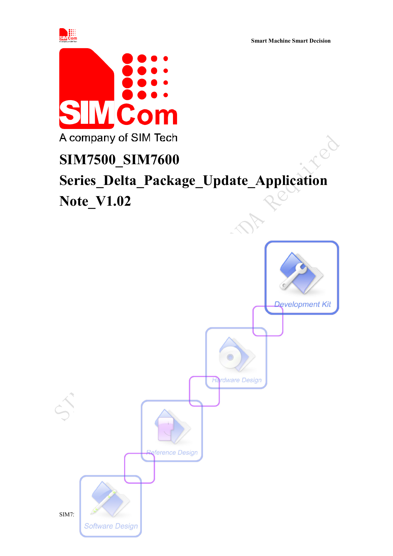

**Smart Machine Smart Decision**

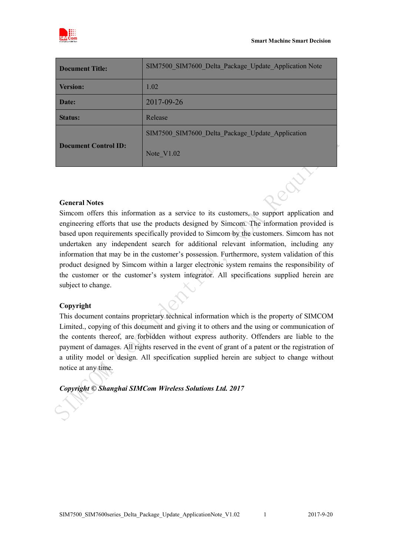

| <b>Document Title:</b>      | SIM7500 SIM7600 Delta Package Update Application Note |
|-----------------------------|-------------------------------------------------------|
| <b>Version:</b>             | 1.02                                                  |
| Date:                       | 2017-09-26                                            |
| <b>Status:</b>              | Release                                               |
|                             | SIM7500 SIM7600 Delta Package Update Application      |
| <b>Document Control ID:</b> | Note $V1.02$                                          |

#### **General Notes**

Simcom offers this information as a service to its customers, to support application and engineering efforts that use the products designed by Simcom. The information provided is based upon requirements specifically provided to Simcom by the customers. Simcom has not undertaken any independent search for additional relevant information, including any information that may be in the customer's possession. Furthermore, system validation of this product designed by Simcom within a larger electronic system remains the responsibility of the customer or the customer's system integrator. All specifications supplied herein are subject to change.

#### **Copyright**

This document contains proprietary technical information which is the property of SIMCOM Limited., copying of this document and giving it to others and the using or communication of the contents thereof, are forbidden without express authority. Offenders are liable to the payment of damages. All rights reserved in the event of grant of a patent or the registration of a utility model or design. All specification supplied herein are subject to change without notice at any time.

*Copyright © Shanghai SIMCom Wireless Solutions Ltd. 2017*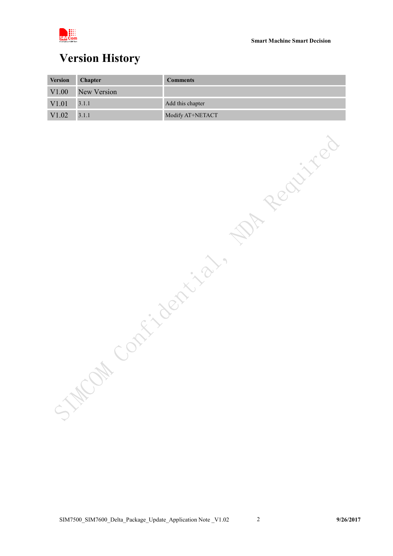

## <span id="page-2-0"></span>**Version History**

| <b>Version</b>    | <b>Chapter</b> | <b>Comments</b>  |
|-------------------|----------------|------------------|
| V1.00             | New Version    |                  |
| V <sub>1.01</sub> | 3.1.1          | Add this chapter |
| V1.02             | 3.1.1          | Modify AT+NETACT |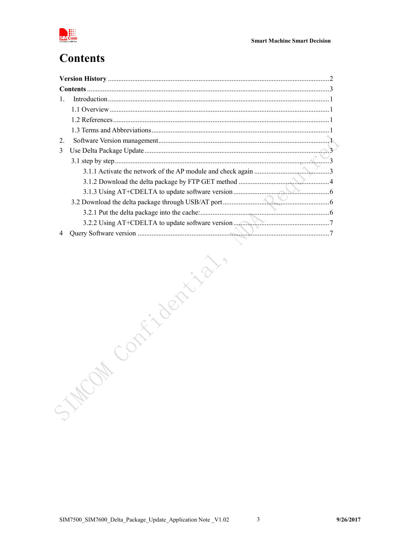

# <span id="page-3-0"></span>**Contents**

| $\mathbf{1}$ .<br><b>Milbertish</b><br>STACON |    |  |
|-----------------------------------------------|----|--|
|                                               |    |  |
|                                               |    |  |
|                                               |    |  |
|                                               |    |  |
|                                               | 2. |  |
|                                               | 3  |  |
|                                               |    |  |
|                                               |    |  |
|                                               |    |  |
|                                               |    |  |
|                                               |    |  |
|                                               |    |  |
|                                               |    |  |
|                                               | 4  |  |
|                                               |    |  |
|                                               |    |  |
|                                               |    |  |
|                                               |    |  |
|                                               |    |  |
|                                               |    |  |
|                                               |    |  |
|                                               |    |  |
|                                               |    |  |
|                                               |    |  |
|                                               |    |  |
|                                               |    |  |
|                                               |    |  |
|                                               |    |  |
|                                               |    |  |
|                                               |    |  |
|                                               |    |  |
|                                               |    |  |
|                                               |    |  |
|                                               |    |  |

 $\overline{\mathbf{3}}$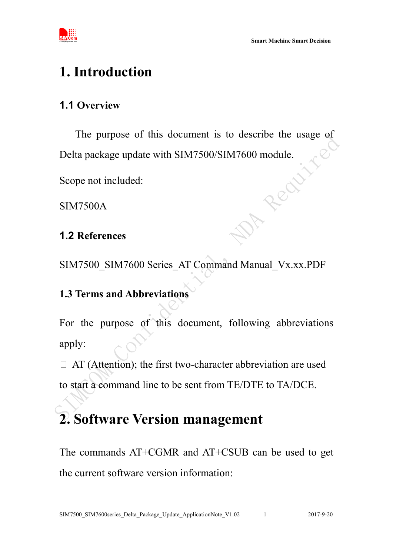



# <span id="page-4-0"></span>**1. Introduction**

## <span id="page-4-1"></span>**1.1 Overview**

The purpose of this document is to describe the usage of Delta package update with SIM7500/SIM7600 module.<br>Scope not included:<br>SIM7500A<br>1.2 References

Scope not included:

SIM7500A

### <span id="page-4-2"></span>**1.2 References**

SIM7500\_SIM7600 Series\_AT Command Manual\_Vx.xx.PDF

### <span id="page-4-3"></span>**1.3 Terms and Abbreviations**

For the purpose of this document, following abbreviations apply:

□ AT (Attention); the first two-character abbreviation are used to start a command line to be sent from TE/DTE to TA/DCE.

# <span id="page-4-4"></span>**2. Software Version management**

The commands AT+CGMR and AT+CSUB can be used to get the current software version information: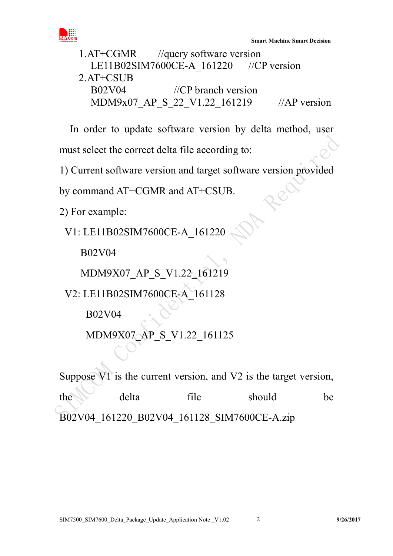

1.AT+CGMR //query software version LE11B02SIM7600CE-A 161220 //CP version 2.AT+CSUB B02V04 //CP branch version MDM9x07\_AP\_S\_22\_V1.22\_161219 //AP version

In order to update software version by delta method, user must select the correct delta file according to:

1) Current software version and target software version provided

by command AT+CGMR and AT+CSUB.

2) For example:

V1: LE11B02SIM7600CE-A\_161220

B02V04

MDM9X07\_AP\_S\_V1.22\_161219

V2: LE11B02SIM7600CE-A\_161128

B02V04

MDM9X07\_AP\_S\_V1.22\_161125

Suppose V1 is the current version, and V2 is the target version,

the delta file should be B02V04\_161220\_B02V04\_161128\_SIM7600CE-A.zip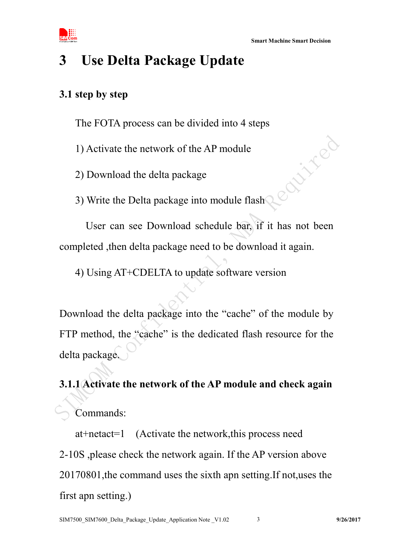Davisco



# <span id="page-6-0"></span>**3 Use Delta Package Update**

#### <span id="page-6-1"></span>**3.1 step by step**

The FOTA process can be divided into 4 steps

1) Activate the network of the AP module

2) Download the delta package

3) Write the Delta package into module flash

 User can see Download schedule bar, if it has not been completed ,then delta package need to be download it again.

4) Using AT+CDELTA to update software version

Download the delta package into the "cache" of the module by FTP method, the "cache" is the dedicated flash resource for the delta package.

<span id="page-6-2"></span>**3.1.1 Activate the network of the AP module and check again** Commands:

at+netact=1 (Activate the network,this process need 2-10S ,please check the network again. If the AP version above 20170801,the command uses the sixth apn setting.If not,uses the first apn setting.)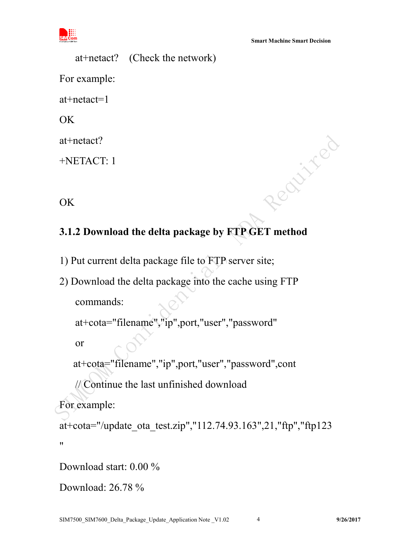

Realited

at+netact? (Check the network) For example: at+netact=1 **OK** at+netact?

+NETACT: 1

OK

## <span id="page-7-0"></span>**3.1.2 Download the delta package by FTP GET method**

- 1) Put current delta package file to FTP server site;
- 2) Download the delta package into the cache using FTP commands:

```
at+cota="filename","ip",port,"user","password"
```
or

at+cota="filename","ip",port,"user","password",cont

// Continue the last unfinished download

For example:

at+cota="/update\_ota\_test.zip","112.74.93.163",21,"ftp","ftp123  $"$ 

Download start: 0.00 %

```
Download: 26.78 %
```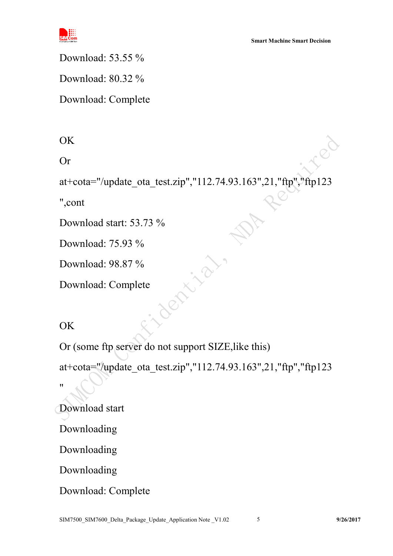

Download: 53.55 %

Download: 80.32 %

Download: Complete

OK

Or

at+cota="/update\_ota\_test.zip","112.74.93.163",21,"ftp","ftp123

",cont

Download start: 53.73 %

Download: 75.93 %

Download: 98.87 %

Download: Complete

 $\overline{OK}$ 

Or (some ftp server do not support SIZE,like this)

at+cota="/update\_ota\_test.zip","112.74.93.163",21,"ftp","ftp123 "

Download start

Downloading

Downloading

Downloading

Download: Complete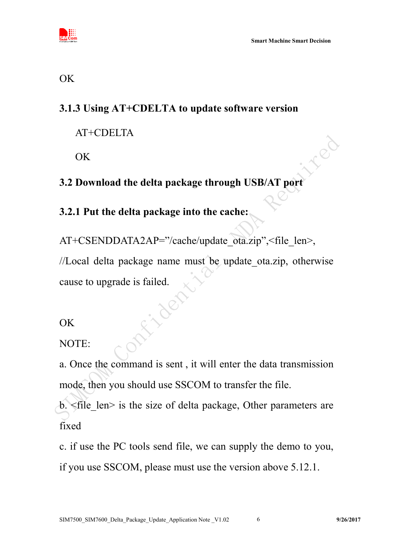

### <span id="page-9-0"></span>**3.1.3 Using AT+CDELTA to update software version**

AT+CDELTA

OK

## <span id="page-9-1"></span>**3.2 Download the delta package through USB/AT port**

### <span id="page-9-2"></span>**3.2.1 Put the delta package into the cache:**

AT+CSENDDATA2AP="/cache/update\_ota.zip",<file\_len>, //Local delta package name must be update\_ota.zip, otherwise cause to upgrade is failed.

**OK** 

NOTE:

a. Once the command is sent , it will enter the data transmission mode, then you should use SSCOM to transfer the file.

 $b.$   $\leq$  file len $>$  is the size of delta package, Other parameters are fixed

c. if use the PC tools send file, we can supply the demo to you, if you use SSCOM, please must use the version above 5.12.1.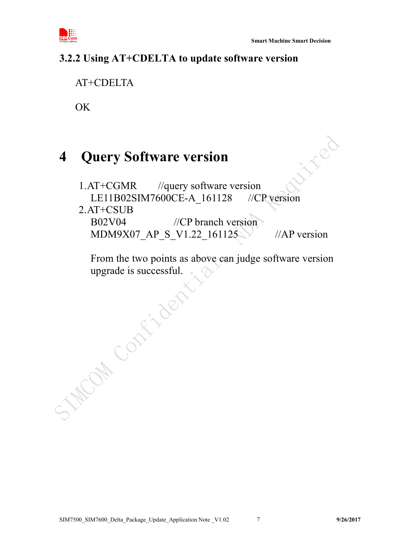

### <span id="page-10-0"></span>**3.2.2 Using AT+CDELTA to update software version**

AT+CDELTA

 $\overline{OK}$ 

# <span id="page-10-1"></span>**4 Query Software version**

inter 1.AT+CGMR //query software version LE11B02SIM7600CE-A\_161128 //CP version

#### 2.AT+CSUB

B02V04 //CP branch version MDM9X07 AP S V1.22 161125 //AP version

From the two points as above can judge software version upgrade is successful.